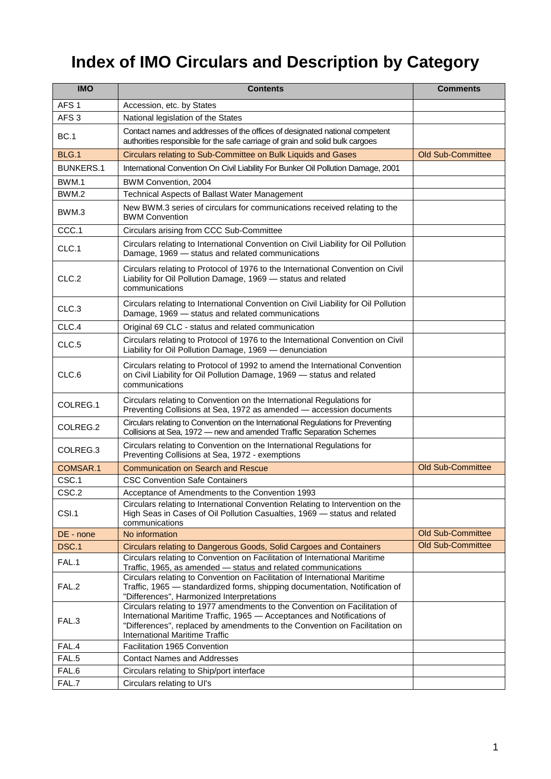## **Index of IMO Circulars and Description by Category**

| <b>IMO</b>       | <b>Contents</b>                                                                                                                                                                                                                                                              | <b>Comments</b>          |
|------------------|------------------------------------------------------------------------------------------------------------------------------------------------------------------------------------------------------------------------------------------------------------------------------|--------------------------|
| AFS <sub>1</sub> | Accession, etc. by States                                                                                                                                                                                                                                                    |                          |
| AFS <sub>3</sub> | National legislation of the States                                                                                                                                                                                                                                           |                          |
| <b>BC.1</b>      | Contact names and addresses of the offices of designated national competent<br>authorities responsible for the safe carriage of grain and solid bulk cargoes                                                                                                                 |                          |
| BLG.1            | Circulars relating to Sub-Committee on Bulk Liquids and Gases                                                                                                                                                                                                                | <b>Old Sub-Committee</b> |
| <b>BUNKERS.1</b> | International Convention On Civil Liability For Bunker Oil Pollution Damage, 2001                                                                                                                                                                                            |                          |
| BWM.1            | BWM Convention, 2004                                                                                                                                                                                                                                                         |                          |
| BWM.2            | Technical Aspects of Ballast Water Management                                                                                                                                                                                                                                |                          |
| BWM.3            | New BWM.3 series of circulars for communications received relating to the<br><b>BWM Convention</b>                                                                                                                                                                           |                          |
| CCC.1            | Circulars arising from CCC Sub-Committee                                                                                                                                                                                                                                     |                          |
| CLC.1            | Circulars relating to International Convention on Civil Liability for Oil Pollution<br>Damage, 1969 - status and related communications                                                                                                                                      |                          |
| CLC.2            | Circulars relating to Protocol of 1976 to the International Convention on Civil<br>Liability for Oil Pollution Damage, 1969 - status and related<br>communications                                                                                                           |                          |
| CLC.3            | Circulars relating to International Convention on Civil Liability for Oil Pollution<br>Damage, 1969 - status and related communications                                                                                                                                      |                          |
| CLC.4            | Original 69 CLC - status and related communication                                                                                                                                                                                                                           |                          |
| CLC.5            | Circulars relating to Protocol of 1976 to the International Convention on Civil<br>Liability for Oil Pollution Damage, 1969 - denunciation                                                                                                                                   |                          |
| CLC.6            | Circulars relating to Protocol of 1992 to amend the International Convention<br>on Civil Liability for Oil Pollution Damage, 1969 - status and related<br>communications                                                                                                     |                          |
| COLREG.1         | Circulars relating to Convention on the International Regulations for<br>Preventing Collisions at Sea, 1972 as amended - accession documents                                                                                                                                 |                          |
| COLREG.2         | Circulars relating to Convention on the International Regulations for Preventing<br>Collisions at Sea, 1972 - new and amended Traffic Separation Schemes                                                                                                                     |                          |
| COLREG.3         | Circulars relating to Convention on the International Regulations for<br>Preventing Collisions at Sea, 1972 - exemptions                                                                                                                                                     |                          |
| COMSAR.1         | <b>Communication on Search and Rescue</b>                                                                                                                                                                                                                                    | <b>Old Sub-Committee</b> |
| CSC.1            | <b>CSC Convention Safe Containers</b>                                                                                                                                                                                                                                        |                          |
| CSC.2            | Acceptance of Amendments to the Convention 1993                                                                                                                                                                                                                              |                          |
| CSI.1            | Circulars relating to International Convention Relating to Intervention on the<br>High Seas in Cases of Oil Pollution Casualties, 1969 - status and related<br>communications                                                                                                |                          |
| DE - none        | No information                                                                                                                                                                                                                                                               | Old Sub-Committee        |
| DSC.1            | Circulars relating to Dangerous Goods, Solid Cargoes and Containers                                                                                                                                                                                                          | <b>Old Sub-Committee</b> |
| FAL.1            | Circulars relating to Convention on Facilitation of International Maritime<br>Traffic, 1965, as amended - status and related communications                                                                                                                                  |                          |
| FAL.2            | Circulars relating to Convention on Facilitation of International Maritime<br>Traffic, 1965 - standardized forms, shipping documentation, Notification of<br>"Differences", Harmonized Interpretations                                                                       |                          |
| FAL.3            | Circulars relating to 1977 amendments to the Convention on Facilitation of<br>International Maritime Traffic, 1965 - Acceptances and Notifications of<br>"Differences", replaced by amendments to the Convention on Facilitation on<br><b>International Maritime Traffic</b> |                          |
| FAL.4            | Facilitation 1965 Convention                                                                                                                                                                                                                                                 |                          |
| FAL.5            | <b>Contact Names and Addresses</b>                                                                                                                                                                                                                                           |                          |
| FAL.6            | Circulars relating to Ship/port interface                                                                                                                                                                                                                                    |                          |
| FAL.7            | Circulars relating to UI's                                                                                                                                                                                                                                                   |                          |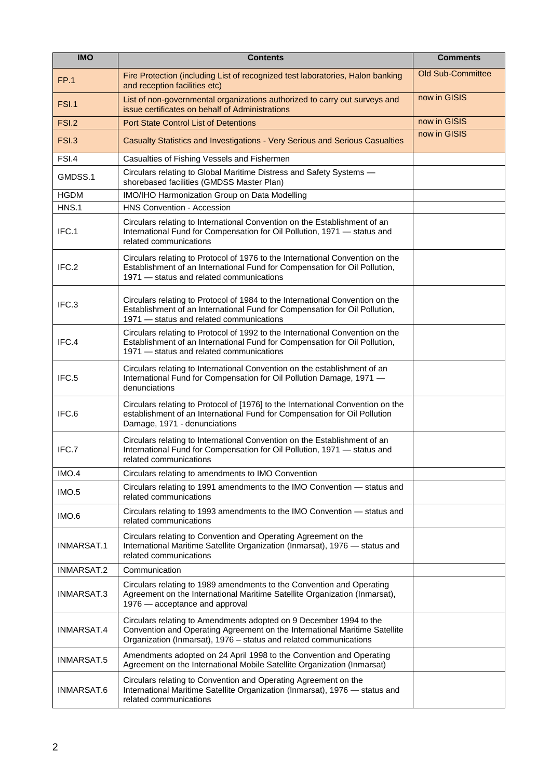| <b>IMO</b>        | <b>Contents</b>                                                                                                                                                                                                       | <b>Comments</b>          |
|-------------------|-----------------------------------------------------------------------------------------------------------------------------------------------------------------------------------------------------------------------|--------------------------|
| <b>FP.1</b>       | Fire Protection (including List of recognized test laboratories, Halon banking<br>and reception facilities etc)                                                                                                       | <b>Old Sub-Committee</b> |
| <b>FSI.1</b>      | List of non-governmental organizations authorized to carry out surveys and<br>issue certificates on behalf of Administrations                                                                                         | now in GISIS             |
| FSI.2             | <b>Port State Control List of Detentions</b>                                                                                                                                                                          | now in GISIS             |
| <b>FSI.3</b>      | Casualty Statistics and Investigations - Very Serious and Serious Casualties                                                                                                                                          | now in GISIS             |
| FSI.4             | Casualties of Fishing Vessels and Fishermen                                                                                                                                                                           |                          |
| GMDSS.1           | Circulars relating to Global Maritime Distress and Safety Systems -<br>shorebased facilities (GMDSS Master Plan)                                                                                                      |                          |
| <b>HGDM</b>       | IMO/IHO Harmonization Group on Data Modelling                                                                                                                                                                         |                          |
| HNS.1             | <b>HNS Convention - Accession</b>                                                                                                                                                                                     |                          |
| IFC.1             | Circulars relating to International Convention on the Establishment of an<br>International Fund for Compensation for Oil Pollution, 1971 - status and<br>related communications                                       |                          |
| IFC.2             | Circulars relating to Protocol of 1976 to the International Convention on the<br>Establishment of an International Fund for Compensation for Oil Pollution,<br>1971 - status and related communications               |                          |
| IFC.3             | Circulars relating to Protocol of 1984 to the International Convention on the<br>Establishment of an International Fund for Compensation for Oil Pollution,<br>1971 - status and related communications               |                          |
| IFC.4             | Circulars relating to Protocol of 1992 to the International Convention on the<br>Establishment of an International Fund for Compensation for Oil Pollution,<br>1971 - status and related communications               |                          |
| IFC.5             | Circulars relating to International Convention on the establishment of an<br>International Fund for Compensation for Oil Pollution Damage, 1971 -<br>denunciations                                                    |                          |
| IFC.6             | Circulars relating to Protocol of [1976] to the International Convention on the<br>establishment of an International Fund for Compensation for Oil Pollution<br>Damage, 1971 - denunciations                          |                          |
| IFC.7             | Circulars relating to International Convention on the Establishment of an<br>International Fund for Compensation for Oil Pollution, 1971 - status and<br>related communications                                       |                          |
| IMO.4             | Circulars relating to amendments to IMO Convention                                                                                                                                                                    |                          |
| IMO.5             | Circulars relating to 1991 amendments to the IMO Convention — status and<br>related communications                                                                                                                    |                          |
| IMO.6             | Circulars relating to 1993 amendments to the IMO Convention - status and<br>related communications                                                                                                                    |                          |
| <b>INMARSAT.1</b> | Circulars relating to Convention and Operating Agreement on the<br>International Maritime Satellite Organization (Inmarsat), 1976 - status and<br>related communications                                              |                          |
| INMARSAT.2        | Communication                                                                                                                                                                                                         |                          |
| INMARSAT.3        | Circulars relating to 1989 amendments to the Convention and Operating<br>Agreement on the International Maritime Satellite Organization (Inmarsat),<br>1976 - acceptance and approval                                 |                          |
| <b>INMARSAT.4</b> | Circulars relating to Amendments adopted on 9 December 1994 to the<br>Convention and Operating Agreement on the International Maritime Satellite<br>Organization (Inmarsat), 1976 - status and related communications |                          |
| <b>INMARSAT.5</b> | Amendments adopted on 24 April 1998 to the Convention and Operating<br>Agreement on the International Mobile Satellite Organization (Inmarsat)                                                                        |                          |
| INMARSAT.6        | Circulars relating to Convention and Operating Agreement on the<br>International Maritime Satellite Organization (Inmarsat), 1976 - status and<br>related communications                                              |                          |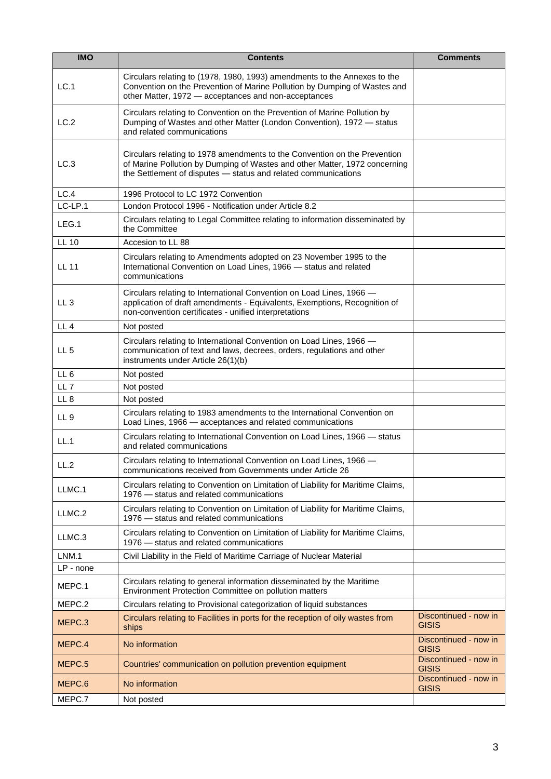| <b>IMO</b>      | <b>Contents</b>                                                                                                                                                                                                           | <b>Comments</b>                       |
|-----------------|---------------------------------------------------------------------------------------------------------------------------------------------------------------------------------------------------------------------------|---------------------------------------|
| LC.1            | Circulars relating to (1978, 1980, 1993) amendments to the Annexes to the<br>Convention on the Prevention of Marine Pollution by Dumping of Wastes and<br>other Matter, 1972 - acceptances and non-acceptances            |                                       |
| LC.2            | Circulars relating to Convention on the Prevention of Marine Pollution by<br>Dumping of Wastes and other Matter (London Convention), 1972 - status<br>and related communications                                          |                                       |
| LC.3            | Circulars relating to 1978 amendments to the Convention on the Prevention<br>of Marine Pollution by Dumping of Wastes and other Matter, 1972 concerning<br>the Settlement of disputes - status and related communications |                                       |
| LC.4            | 1996 Protocol to LC 1972 Convention                                                                                                                                                                                       |                                       |
| LC-LP.1         | London Protocol 1996 - Notification under Article 8.2                                                                                                                                                                     |                                       |
| LEG.1           | Circulars relating to Legal Committee relating to information disseminated by<br>the Committee                                                                                                                            |                                       |
| <b>LL 10</b>    | Accesion to LL 88                                                                                                                                                                                                         |                                       |
| <b>LL 11</b>    | Circulars relating to Amendments adopted on 23 November 1995 to the<br>International Convention on Load Lines, 1966 - status and related<br>communications                                                                |                                       |
| LL <sub>3</sub> | Circulars relating to International Convention on Load Lines, 1966 -<br>application of draft amendments - Equivalents, Exemptions, Recognition of<br>non-convention certificates - unified interpretations                |                                       |
| LL <sub>4</sub> | Not posted                                                                                                                                                                                                                |                                       |
| LL <sub>5</sub> | Circulars relating to International Convention on Load Lines, 1966 -<br>communication of text and laws, decrees, orders, regulations and other<br>instruments under Article 26(1)(b)                                      |                                       |
| LL <sub>6</sub> | Not posted                                                                                                                                                                                                                |                                       |
| LL <sub>7</sub> | Not posted                                                                                                                                                                                                                |                                       |
| LL <sub>8</sub> | Not posted                                                                                                                                                                                                                |                                       |
| LL <sub>9</sub> | Circulars relating to 1983 amendments to the International Convention on<br>Load Lines, 1966 - acceptances and related communications                                                                                     |                                       |
| LL.1            | Circulars relating to International Convention on Load Lines, 1966 - status<br>and related communications                                                                                                                 |                                       |
| LL.2            | Circulars relating to International Convention on Load Lines, 1966 -<br>communications received from Governments under Article 26                                                                                         |                                       |
| LLMC.1          | Circulars relating to Convention on Limitation of Liability for Maritime Claims,<br>1976 - status and related communications                                                                                              |                                       |
| LLMC.2          | Circulars relating to Convention on Limitation of Liability for Maritime Claims,<br>1976 - status and related communications                                                                                              |                                       |
| LLMC.3          | Circulars relating to Convention on Limitation of Liability for Maritime Claims,<br>1976 - status and related communications                                                                                              |                                       |
| LNM.1           | Civil Liability in the Field of Maritime Carriage of Nuclear Material                                                                                                                                                     |                                       |
| $LP$ - none     |                                                                                                                                                                                                                           |                                       |
| MEPC.1          | Circulars relating to general information disseminated by the Maritime<br>Environment Protection Committee on pollution matters                                                                                           |                                       |
| MEPC.2          | Circulars relating to Provisional categorization of liquid substances                                                                                                                                                     |                                       |
| MEPC.3          | Circulars relating to Facilities in ports for the reception of oily wastes from<br>ships                                                                                                                                  | Discontinued - now in<br><b>GISIS</b> |
| MEPC.4          | No information                                                                                                                                                                                                            | Discontinued - now in<br><b>GISIS</b> |
| MEPC.5          | Countries' communication on pollution prevention equipment                                                                                                                                                                | Discontinued - now in<br><b>GISIS</b> |
| MEPC.6          | No information                                                                                                                                                                                                            | Discontinued - now in<br><b>GISIS</b> |
| MEPC.7          | Not posted                                                                                                                                                                                                                |                                       |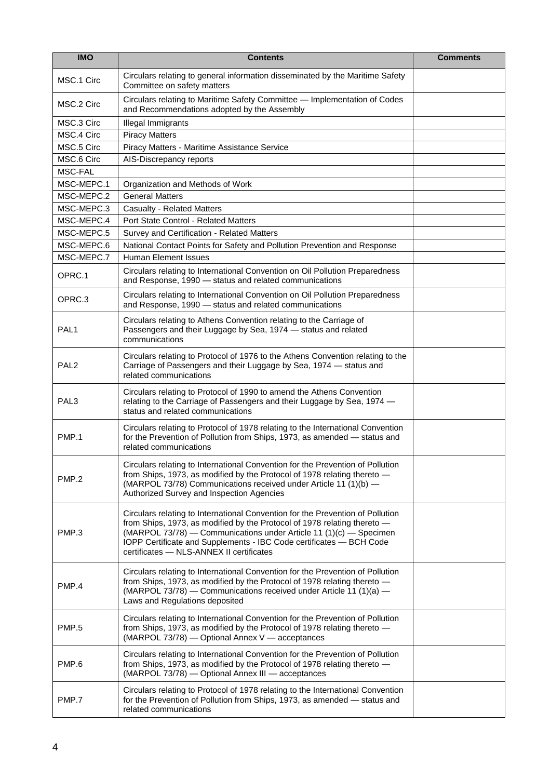| <b>IMO</b>       | <b>Contents</b>                                                                                                                                                                                                                                                                                                                                     | <b>Comments</b> |
|------------------|-----------------------------------------------------------------------------------------------------------------------------------------------------------------------------------------------------------------------------------------------------------------------------------------------------------------------------------------------------|-----------------|
| MSC.1 Circ       | Circulars relating to general information disseminated by the Maritime Safety<br>Committee on safety matters                                                                                                                                                                                                                                        |                 |
| MSC.2 Circ       | Circulars relating to Maritime Safety Committee - Implementation of Codes<br>and Recommendations adopted by the Assembly                                                                                                                                                                                                                            |                 |
| MSC.3 Circ       | Illegal Immigrants                                                                                                                                                                                                                                                                                                                                  |                 |
| MSC.4 Circ       | <b>Piracy Matters</b>                                                                                                                                                                                                                                                                                                                               |                 |
| MSC.5 Circ       | Piracy Matters - Maritime Assistance Service                                                                                                                                                                                                                                                                                                        |                 |
| MSC.6 Circ       | AIS-Discrepancy reports                                                                                                                                                                                                                                                                                                                             |                 |
| MSC-FAL          |                                                                                                                                                                                                                                                                                                                                                     |                 |
| MSC-MEPC.1       | Organization and Methods of Work                                                                                                                                                                                                                                                                                                                    |                 |
| MSC-MEPC.2       | <b>General Matters</b>                                                                                                                                                                                                                                                                                                                              |                 |
| MSC-MEPC.3       | <b>Casualty - Related Matters</b>                                                                                                                                                                                                                                                                                                                   |                 |
| MSC-MEPC.4       | Port State Control - Related Matters                                                                                                                                                                                                                                                                                                                |                 |
| MSC-MEPC.5       | Survey and Certification - Related Matters                                                                                                                                                                                                                                                                                                          |                 |
| MSC-MEPC.6       | National Contact Points for Safety and Pollution Prevention and Response                                                                                                                                                                                                                                                                            |                 |
| MSC-MEPC.7       | <b>Human Element Issues</b>                                                                                                                                                                                                                                                                                                                         |                 |
| OPRC.1           | Circulars relating to International Convention on Oil Pollution Preparedness<br>and Response, 1990 - status and related communications                                                                                                                                                                                                              |                 |
| OPRC.3           | Circulars relating to International Convention on Oil Pollution Preparedness<br>and Response, 1990 - status and related communications                                                                                                                                                                                                              |                 |
| PAL <sub>1</sub> | Circulars relating to Athens Convention relating to the Carriage of<br>Passengers and their Luggage by Sea, 1974 - status and related<br>communications                                                                                                                                                                                             |                 |
| PAL <sub>2</sub> | Circulars relating to Protocol of 1976 to the Athens Convention relating to the<br>Carriage of Passengers and their Luggage by Sea, 1974 - status and<br>related communications                                                                                                                                                                     |                 |
| PAL <sub>3</sub> | Circulars relating to Protocol of 1990 to amend the Athens Convention<br>relating to the Carriage of Passengers and their Luggage by Sea, 1974 -<br>status and related communications                                                                                                                                                               |                 |
| PMP.1            | Circulars relating to Protocol of 1978 relating to the International Convention<br>for the Prevention of Pollution from Ships, 1973, as amended - status and<br>related communications                                                                                                                                                              |                 |
| PMP.2            | Circulars relating to International Convention for the Prevention of Pollution<br>from Ships, 1973, as modified by the Protocol of 1978 relating thereto -<br>(MARPOL 73/78) Communications received under Article 11 (1)(b) —<br>Authorized Survey and Inspection Agencies                                                                         |                 |
| PMP.3            | Circulars relating to International Convention for the Prevention of Pollution<br>from Ships, 1973, as modified by the Protocol of 1978 relating thereto -<br>(MARPOL 73/78) - Communications under Article 11 (1)(c) - Specimen<br>IOPP Certificate and Supplements - IBC Code certificates - BCH Code<br>certificates - NLS-ANNEX II certificates |                 |
| PMP.4            | Circulars relating to International Convention for the Prevention of Pollution<br>from Ships, 1973, as modified by the Protocol of 1978 relating thereto -<br>(MARPOL 73/78) - Communications received under Article 11 (1)(a) -<br>Laws and Regulations deposited                                                                                  |                 |
| PMP.5            | Circulars relating to International Convention for the Prevention of Pollution<br>from Ships, 1973, as modified by the Protocol of 1978 relating thereto -<br>(MARPOL 73/78) — Optional Annex V — acceptances                                                                                                                                       |                 |
| PMP.6            | Circulars relating to International Convention for the Prevention of Pollution<br>from Ships, 1973, as modified by the Protocol of 1978 relating thereto -<br>(MARPOL 73/78) - Optional Annex III - acceptances                                                                                                                                     |                 |
| PMP.7            | Circulars relating to Protocol of 1978 relating to the International Convention<br>for the Prevention of Pollution from Ships, 1973, as amended - status and<br>related communications                                                                                                                                                              |                 |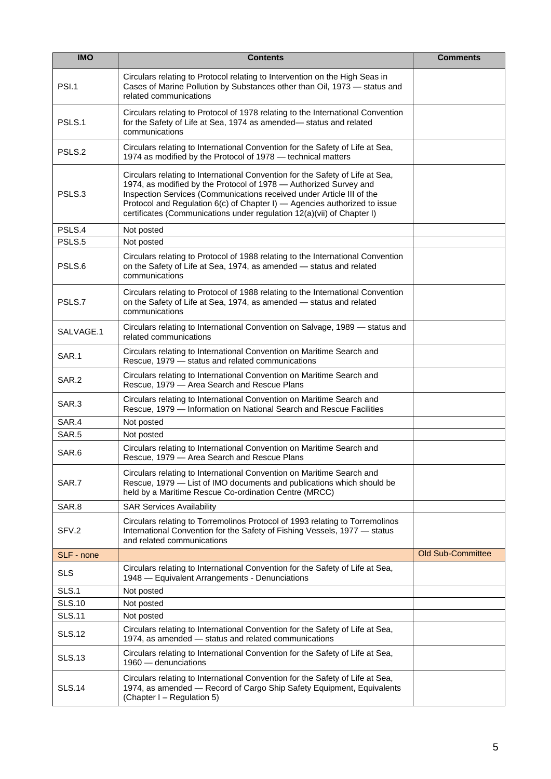| <b>IMO</b>    | <b>Contents</b>                                                                                                                                                                                                                                                                                                                                                                    | <b>Comments</b>          |
|---------------|------------------------------------------------------------------------------------------------------------------------------------------------------------------------------------------------------------------------------------------------------------------------------------------------------------------------------------------------------------------------------------|--------------------------|
| <b>PSI.1</b>  | Circulars relating to Protocol relating to Intervention on the High Seas in<br>Cases of Marine Pollution by Substances other than Oil, 1973 - status and<br>related communications                                                                                                                                                                                                 |                          |
| PSLS.1        | Circulars relating to Protocol of 1978 relating to the International Convention<br>for the Safety of Life at Sea, 1974 as amended- status and related<br>communications                                                                                                                                                                                                            |                          |
| PSLS.2        | Circulars relating to International Convention for the Safety of Life at Sea,<br>1974 as modified by the Protocol of 1978 - technical matters                                                                                                                                                                                                                                      |                          |
| PSLS.3        | Circulars relating to International Convention for the Safety of Life at Sea,<br>1974, as modified by the Protocol of 1978 - Authorized Survey and<br>Inspection Services (Communications received under Article III of the<br>Protocol and Regulation 6(c) of Chapter I) - Agencies authorized to issue<br>certificates (Communications under regulation 12(a)(vii) of Chapter I) |                          |
| PSLS.4        | Not posted                                                                                                                                                                                                                                                                                                                                                                         |                          |
| PSLS.5        | Not posted                                                                                                                                                                                                                                                                                                                                                                         |                          |
| PSLS.6        | Circulars relating to Protocol of 1988 relating to the International Convention<br>on the Safety of Life at Sea, 1974, as amended - status and related<br>communications                                                                                                                                                                                                           |                          |
| PSLS.7        | Circulars relating to Protocol of 1988 relating to the International Convention<br>on the Safety of Life at Sea, 1974, as amended - status and related<br>communications                                                                                                                                                                                                           |                          |
| SALVAGE.1     | Circulars relating to International Convention on Salvage, 1989 - status and<br>related communications                                                                                                                                                                                                                                                                             |                          |
| SAR.1         | Circulars relating to International Convention on Maritime Search and<br>Rescue, 1979 - status and related communications                                                                                                                                                                                                                                                          |                          |
| SAR.2         | Circulars relating to International Convention on Maritime Search and<br>Rescue, 1979 - Area Search and Rescue Plans                                                                                                                                                                                                                                                               |                          |
| SAR.3         | Circulars relating to International Convention on Maritime Search and<br>Rescue, 1979 - Information on National Search and Rescue Facilities                                                                                                                                                                                                                                       |                          |
| SAR.4         | Not posted                                                                                                                                                                                                                                                                                                                                                                         |                          |
| SAR.5         | Not posted                                                                                                                                                                                                                                                                                                                                                                         |                          |
| SAR.6         | Circulars relating to International Convention on Maritime Search and<br>Rescue, 1979 - Area Search and Rescue Plans                                                                                                                                                                                                                                                               |                          |
| SAR.7         | Circulars relating to International Convention on Maritime Search and<br>Rescue, 1979 - List of IMO documents and publications which should be<br>held by a Maritime Rescue Co-ordination Centre (MRCC)                                                                                                                                                                            |                          |
| SAR.8         | <b>SAR Services Availability</b>                                                                                                                                                                                                                                                                                                                                                   |                          |
| SFV.2         | Circulars relating to Torremolinos Protocol of 1993 relating to Torremolinos<br>International Convention for the Safety of Fishing Vessels, 1977 - status<br>and related communications                                                                                                                                                                                            |                          |
| SLF - none    |                                                                                                                                                                                                                                                                                                                                                                                    | <b>Old Sub-Committee</b> |
| <b>SLS</b>    | Circulars relating to International Convention for the Safety of Life at Sea,<br>1948 - Equivalent Arrangements - Denunciations                                                                                                                                                                                                                                                    |                          |
| SLS.1         | Not posted                                                                                                                                                                                                                                                                                                                                                                         |                          |
| <b>SLS.10</b> | Not posted                                                                                                                                                                                                                                                                                                                                                                         |                          |
| <b>SLS.11</b> | Not posted                                                                                                                                                                                                                                                                                                                                                                         |                          |
| <b>SLS.12</b> | Circulars relating to International Convention for the Safety of Life at Sea,<br>1974, as amended - status and related communications                                                                                                                                                                                                                                              |                          |
| <b>SLS.13</b> | Circulars relating to International Convention for the Safety of Life at Sea,<br>1960 — denunciations                                                                                                                                                                                                                                                                              |                          |
| <b>SLS.14</b> | Circulars relating to International Convention for the Safety of Life at Sea,<br>1974, as amended - Record of Cargo Ship Safety Equipment, Equivalents<br>(Chapter I - Regulation 5)                                                                                                                                                                                               |                          |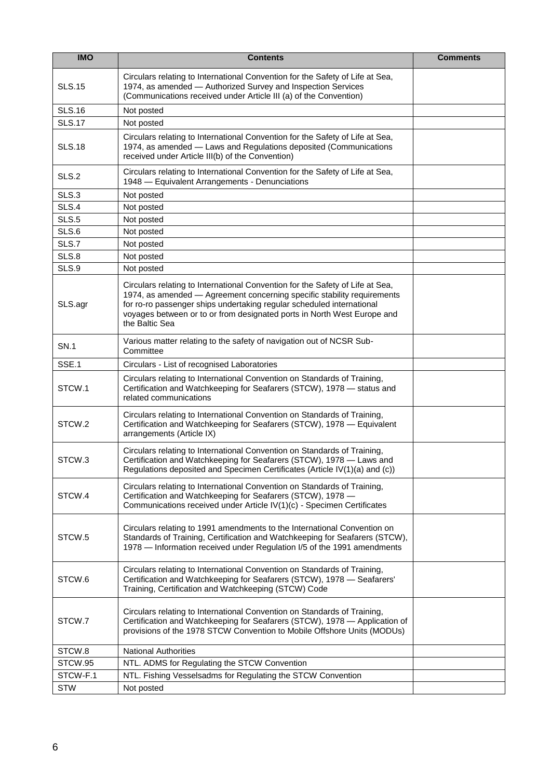| <b>IMO</b>    | <b>Contents</b>                                                                                                                                                                                                                                                                                                                | <b>Comments</b> |
|---------------|--------------------------------------------------------------------------------------------------------------------------------------------------------------------------------------------------------------------------------------------------------------------------------------------------------------------------------|-----------------|
| <b>SLS.15</b> | Circulars relating to International Convention for the Safety of Life at Sea,<br>1974, as amended - Authorized Survey and Inspection Services<br>(Communications received under Article III (a) of the Convention)                                                                                                             |                 |
| <b>SLS.16</b> | Not posted                                                                                                                                                                                                                                                                                                                     |                 |
| <b>SLS.17</b> | Not posted                                                                                                                                                                                                                                                                                                                     |                 |
| <b>SLS.18</b> | Circulars relating to International Convention for the Safety of Life at Sea,<br>1974, as amended - Laws and Regulations deposited (Communications<br>received under Article III(b) of the Convention)                                                                                                                         |                 |
| SLS.2         | Circulars relating to International Convention for the Safety of Life at Sea,<br>1948 - Equivalent Arrangements - Denunciations                                                                                                                                                                                                |                 |
| SLS.3         | Not posted                                                                                                                                                                                                                                                                                                                     |                 |
| SLS.4         | Not posted                                                                                                                                                                                                                                                                                                                     |                 |
| SLS.5         | Not posted                                                                                                                                                                                                                                                                                                                     |                 |
| SLS.6         | Not posted                                                                                                                                                                                                                                                                                                                     |                 |
| SLS.7         | Not posted                                                                                                                                                                                                                                                                                                                     |                 |
| SLS.8         | Not posted                                                                                                                                                                                                                                                                                                                     |                 |
| SLS.9         | Not posted                                                                                                                                                                                                                                                                                                                     |                 |
| SLS.agr       | Circulars relating to International Convention for the Safety of Life at Sea,<br>1974, as amended - Agreement concerning specific stability requirements<br>for ro-ro passenger ships undertaking regular scheduled international<br>voyages between or to or from designated ports in North West Europe and<br>the Baltic Sea |                 |
| <b>SN.1</b>   | Various matter relating to the safety of navigation out of NCSR Sub-<br>Committee                                                                                                                                                                                                                                              |                 |
| SSE.1         | Circulars - List of recognised Laboratories                                                                                                                                                                                                                                                                                    |                 |
| STCW.1        | Circulars relating to International Convention on Standards of Training,<br>Certification and Watchkeeping for Seafarers (STCW), 1978 - status and<br>related communications                                                                                                                                                   |                 |
| STCW.2        | Circulars relating to International Convention on Standards of Training,<br>Certification and Watchkeeping for Seafarers (STCW), 1978 - Equivalent<br>arrangements (Article IX)                                                                                                                                                |                 |
| STCW.3        | Circulars relating to International Convention on Standards of Training,<br>Certification and Watchkeeping for Seafarers (STCW), 1978 - Laws and<br>Regulations deposited and Specimen Certificates (Article IV(1)(a) and (c))                                                                                                 |                 |
| STCW.4        | Circulars relating to International Convention on Standards of Training,<br>Certification and Watchkeeping for Seafarers (STCW), 1978 -<br>Communications received under Article IV(1)(c) - Specimen Certificates                                                                                                              |                 |
| STCW.5        | Circulars relating to 1991 amendments to the International Convention on<br>Standards of Training, Certification and Watchkeeping for Seafarers (STCW),<br>1978 - Information received under Regulation I/5 of the 1991 amendments                                                                                             |                 |
| STCW.6        | Circulars relating to International Convention on Standards of Training,<br>Certification and Watchkeeping for Seafarers (STCW), 1978 - Seafarers'<br>Training, Certification and Watchkeeping (STCW) Code                                                                                                                     |                 |
| STCW.7        | Circulars relating to International Convention on Standards of Training,<br>Certification and Watchkeeping for Seafarers (STCW), 1978 - Application of<br>provisions of the 1978 STCW Convention to Mobile Offshore Units (MODUs)                                                                                              |                 |
| STCW.8        | <b>National Authorities</b>                                                                                                                                                                                                                                                                                                    |                 |
| STCW.95       | NTL. ADMS for Regulating the STCW Convention                                                                                                                                                                                                                                                                                   |                 |
| STCW-F.1      | NTL. Fishing Vesselsadms for Regulating the STCW Convention                                                                                                                                                                                                                                                                    |                 |
| <b>STW</b>    | Not posted                                                                                                                                                                                                                                                                                                                     |                 |